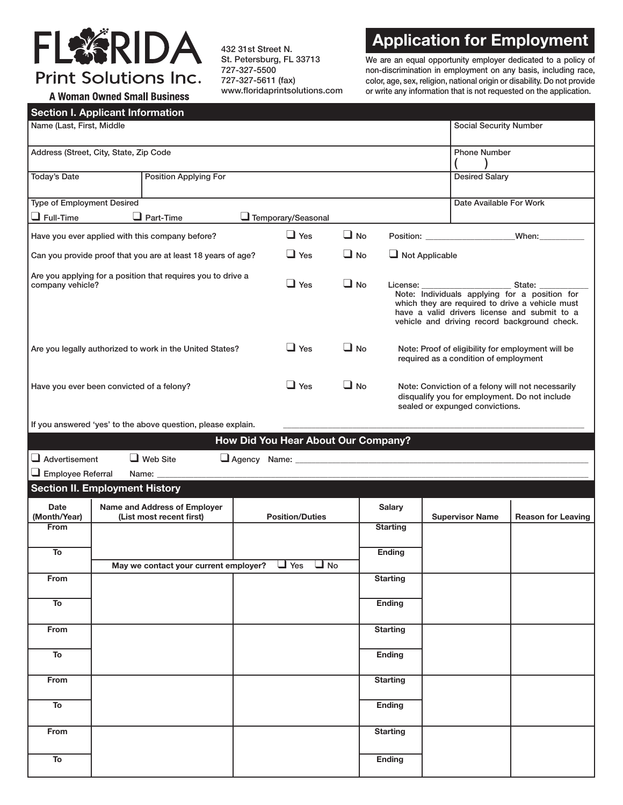## FL茶RIDA **Print Solutions Inc.**

**A Woman Owned Small Business** 

432 31st Street N. St. Petersburg, FL 33713 727-327-5500 727-327-5611 (fax) www.floridaprintsolutions.com

## **Application for Employment**

We are an equal opportunity employer dedicated to a policy of non-discrimination in employment on any basis, including race, color, age, sex, religion, national origin or disability. Do not provide or write any information that is not requested on the application.

|  | Section L Annlicant Information |
|--|---------------------------------|

| <b>Section I. Applicant Information</b>                                          |                                                                                                   |                                                              |            |                                     |                       |                                                                                                                                                                                                  |                               |                                                                                                                                       |                           |
|----------------------------------------------------------------------------------|---------------------------------------------------------------------------------------------------|--------------------------------------------------------------|------------|-------------------------------------|-----------------------|--------------------------------------------------------------------------------------------------------------------------------------------------------------------------------------------------|-------------------------------|---------------------------------------------------------------------------------------------------------------------------------------|---------------------------|
| Name (Last, First, Middle                                                        |                                                                                                   |                                                              |            |                                     |                       |                                                                                                                                                                                                  | <b>Social Security Number</b> |                                                                                                                                       |                           |
| Address (Street, City, State, Zip Code                                           |                                                                                                   |                                                              |            |                                     |                       |                                                                                                                                                                                                  | <b>Phone Number</b>           |                                                                                                                                       |                           |
| <b>Today's Date</b>                                                              |                                                                                                   | <b>Position Applying For</b>                                 |            |                                     |                       |                                                                                                                                                                                                  |                               | <b>Desired Salary</b>                                                                                                                 |                           |
| <b>Type of Employment Desired</b>                                                |                                                                                                   |                                                              |            |                                     |                       |                                                                                                                                                                                                  |                               | Date Available For Work                                                                                                               |                           |
| $\Box$ Full-Time                                                                 |                                                                                                   | $\Box$ Part-Time                                             |            | Temporary/Seasonal                  |                       |                                                                                                                                                                                                  |                               |                                                                                                                                       |                           |
| Have you ever applied with this company before?                                  |                                                                                                   |                                                              | $\Box$ Yes | $\Box$ No                           |                       |                                                                                                                                                                                                  |                               |                                                                                                                                       |                           |
| Can you provide proof that you are at least 18 years of age?                     |                                                                                                   |                                                              | $\Box$ Yes | $\Box$ No                           | $\Box$ Not Applicable |                                                                                                                                                                                                  |                               |                                                                                                                                       |                           |
| Are you applying for a position that requires you to drive a<br>company vehicle? |                                                                                                   | $\Box$ Yes                                                   | $\Box$ No  |                                     |                       | Note: Individuals applying for a position for<br>which they are required to drive a vehicle must<br>have a valid drivers license and submit to a<br>vehicle and driving record background check. |                               |                                                                                                                                       |                           |
| Are you legally authorized to work in the United States?                         |                                                                                                   |                                                              | $\Box$ Yes | $\Box$ No                           |                       | Note: Proof of eligibility for employment will be<br>required as a condition of employment                                                                                                       |                               |                                                                                                                                       |                           |
| Have you ever been convicted of a felony?                                        |                                                                                                   |                                                              | $\Box$ Yes | $\Box$ No                           |                       |                                                                                                                                                                                                  |                               | Note: Conviction of a felony will not necessarily<br>disqualify you for employment. Do not include<br>sealed or expunged convictions. |                           |
|                                                                                  |                                                                                                   | If you answered 'yes' to the above question, please explain. |            |                                     |                       |                                                                                                                                                                                                  |                               |                                                                                                                                       |                           |
|                                                                                  |                                                                                                   |                                                              |            | How Did You Hear About Our Company? |                       |                                                                                                                                                                                                  |                               |                                                                                                                                       |                           |
|                                                                                  |                                                                                                   | $\Box$ Web Site                                              |            |                                     |                       |                                                                                                                                                                                                  |                               |                                                                                                                                       |                           |
| $\Box$ Advertisement<br>$\Box$ Employee Referral                                 |                                                                                                   |                                                              |            |                                     |                       |                                                                                                                                                                                                  |                               |                                                                                                                                       |                           |
|                                                                                  |                                                                                                   | Name: _____                                                  |            |                                     |                       |                                                                                                                                                                                                  |                               |                                                                                                                                       |                           |
| <b>Date</b><br>(Month/Year)                                                      | <b>Section II. Employment History</b><br>Name and Address of Employer<br>(List most recent first) |                                                              |            | <b>Position/Duties</b>              |                       | <b>Salary</b>                                                                                                                                                                                    |                               | <b>Supervisor Name</b>                                                                                                                | <b>Reason for Leaving</b> |
| <b>From</b>                                                                      |                                                                                                   |                                                              |            |                                     |                       | <b>Starting</b>                                                                                                                                                                                  |                               |                                                                                                                                       |                           |
| To                                                                               |                                                                                                   | May we contact your current employer? $\Box$ Yes $\Box$ No   |            |                                     |                       | <b>Ending</b>                                                                                                                                                                                    |                               |                                                                                                                                       |                           |
| From                                                                             |                                                                                                   |                                                              |            |                                     |                       | <b>Starting</b>                                                                                                                                                                                  |                               |                                                                                                                                       |                           |
| To                                                                               |                                                                                                   |                                                              |            |                                     |                       | Ending                                                                                                                                                                                           |                               |                                                                                                                                       |                           |
| From                                                                             |                                                                                                   |                                                              |            |                                     |                       | <b>Starting</b>                                                                                                                                                                                  |                               |                                                                                                                                       |                           |
| To                                                                               |                                                                                                   |                                                              |            |                                     |                       | Ending                                                                                                                                                                                           |                               |                                                                                                                                       |                           |
| From                                                                             |                                                                                                   |                                                              |            |                                     |                       | <b>Starting</b>                                                                                                                                                                                  |                               |                                                                                                                                       |                           |
| To                                                                               |                                                                                                   |                                                              |            |                                     |                       | <b>Ending</b>                                                                                                                                                                                    |                               |                                                                                                                                       |                           |
| From                                                                             |                                                                                                   |                                                              |            |                                     |                       | <b>Starting</b>                                                                                                                                                                                  |                               |                                                                                                                                       |                           |
| To                                                                               |                                                                                                   |                                                              |            |                                     |                       | <b>Ending</b>                                                                                                                                                                                    |                               |                                                                                                                                       |                           |